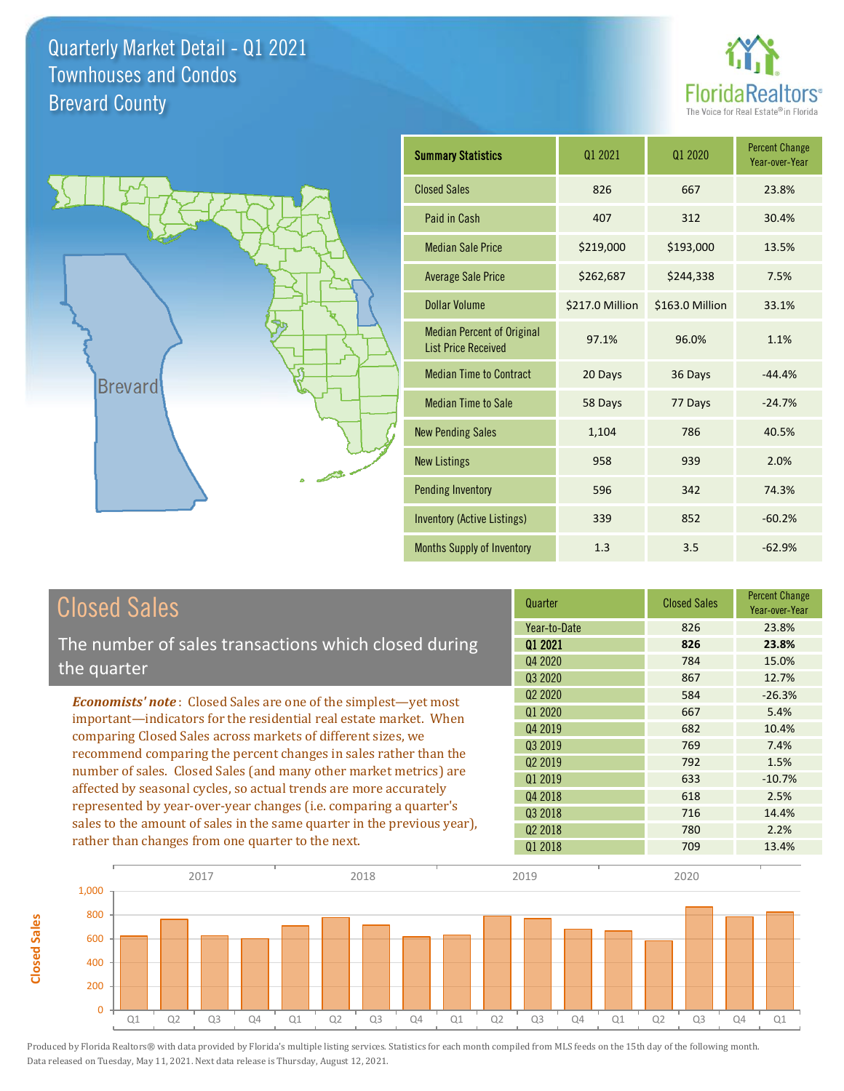



**Closed Sales**

**Closed Sales** 

| <b>Summary Statistics</b>                                       | Q1 2021         | 01 2020         | <b>Percent Change</b><br>Year-over-Year |
|-----------------------------------------------------------------|-----------------|-----------------|-----------------------------------------|
| <b>Closed Sales</b>                                             | 826             | 667             | 23.8%                                   |
| Paid in Cash                                                    | 407             | 312             | 30.4%                                   |
| <b>Median Sale Price</b>                                        | \$219,000       | \$193,000       | 13.5%                                   |
| <b>Average Sale Price</b>                                       | \$262,687       | \$244,338       | 7.5%                                    |
| Dollar Volume                                                   | \$217.0 Million | \$163.0 Million | 33.1%                                   |
| <b>Median Percent of Original</b><br><b>List Price Received</b> | 97.1%           | 96.0%           | 1.1%                                    |
| <b>Median Time to Contract</b>                                  | 20 Days         | 36 Days         | $-44.4%$                                |
| <b>Median Time to Sale</b>                                      | 58 Days         | 77 Days         | $-24.7%$                                |
| <b>New Pending Sales</b>                                        | 1,104           | 786             | 40.5%                                   |
| <b>New Listings</b>                                             | 958             | 939             | 2.0%                                    |
| <b>Pending Inventory</b>                                        | 596             | 342             | 74.3%                                   |
| <b>Inventory (Active Listings)</b>                              | 339             | 852             | $-60.2%$                                |
| Months Supply of Inventory                                      | 1.3             | 3.5             | $-62.9%$                                |

| <b>Closed Sales</b>                                                                                                                                                                                                                                                                                                                                                                                                  | Quarter             | <b>Closed Sales</b> | <b>Percent Change</b><br>Year-over-Year |
|----------------------------------------------------------------------------------------------------------------------------------------------------------------------------------------------------------------------------------------------------------------------------------------------------------------------------------------------------------------------------------------------------------------------|---------------------|---------------------|-----------------------------------------|
|                                                                                                                                                                                                                                                                                                                                                                                                                      | Year-to-Date        | 826                 | 23.8%                                   |
| The number of sales transactions which closed during                                                                                                                                                                                                                                                                                                                                                                 | 01 2021             | 826                 | 23.8%                                   |
| the quarter                                                                                                                                                                                                                                                                                                                                                                                                          | Q4 2020             | 784                 | 15.0%                                   |
|                                                                                                                                                                                                                                                                                                                                                                                                                      | Q3 2020             | 867                 | 12.7%                                   |
| <b>Economists' note:</b> Closed Sales are one of the simplest—yet most                                                                                                                                                                                                                                                                                                                                               | Q <sub>2</sub> 2020 | 584                 | $-26.3%$                                |
| important—indicators for the residential real estate market. When<br>comparing Closed Sales across markets of different sizes, we<br>recommend comparing the percent changes in sales rather than the<br>number of sales. Closed Sales (and many other market metrics) are<br>affected by seasonal cycles, so actual trends are more accurately<br>represented by year-over-year changes (i.e. comparing a quarter's | Q1 2020             | 667                 | 5.4%                                    |
|                                                                                                                                                                                                                                                                                                                                                                                                                      | Q4 2019             | 682                 | 10.4%                                   |
|                                                                                                                                                                                                                                                                                                                                                                                                                      | Q3 2019             | 769                 | 7.4%                                    |
|                                                                                                                                                                                                                                                                                                                                                                                                                      | Q <sub>2</sub> 2019 | 792                 | 1.5%                                    |
|                                                                                                                                                                                                                                                                                                                                                                                                                      | 01 2019             | 633                 | $-10.7%$                                |
|                                                                                                                                                                                                                                                                                                                                                                                                                      | Q4 2018             | 618                 | 2.5%                                    |
|                                                                                                                                                                                                                                                                                                                                                                                                                      | Q3 2018             | 716                 | 14.4%                                   |
| sales to the amount of sales in the same quarter in the previous year),                                                                                                                                                                                                                                                                                                                                              | Q <sub>2</sub> 2018 | 780                 | 2.2%                                    |
| rather than changes from one quarter to the next.                                                                                                                                                                                                                                                                                                                                                                    | 01 2018             | 709                 | 13.4%                                   |

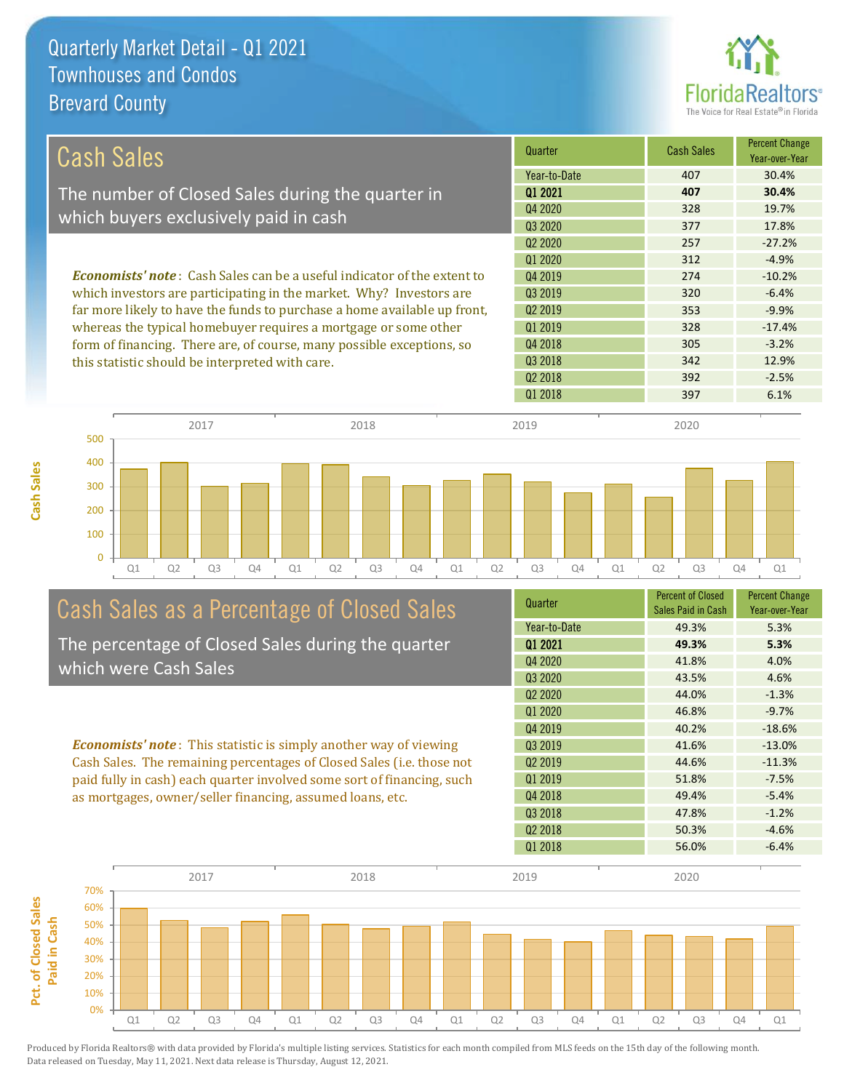

| Cash Sales                                                                     | Quarter             | <b>Cash Sales</b> | <b>Percent Change</b><br>Year-over-Year |
|--------------------------------------------------------------------------------|---------------------|-------------------|-----------------------------------------|
|                                                                                | Year-to-Date        | 407               | 30.4%                                   |
| The number of Closed Sales during the quarter in                               | 01 2021             | 407               | 30.4%                                   |
| which buyers exclusively paid in cash                                          | Q4 2020             | 328               | 19.7%                                   |
|                                                                                | Q3 2020             | 377               | 17.8%                                   |
|                                                                                | Q <sub>2</sub> 2020 | 257               | $-27.2%$                                |
|                                                                                | 01 2020             | 312               | $-4.9%$                                 |
| <b>Economists' note:</b> Cash Sales can be a useful indicator of the extent to | Q4 2019             | 274               | $-10.2%$                                |
| which investors are participating in the market. Why? Investors are            | Q3 2019             | 320               | $-6.4%$                                 |
| far more likely to have the funds to purchase a home available up front,       | 02 2019             | 353               | $-9.9%$                                 |
| whereas the typical homebuyer requires a mortgage or some other                | Q1 2019             | 328               | $-17.4%$                                |
| form of financing. There are, of course, many possible exceptions, so          | Q4 2018             | 305               | $-3.2%$                                 |
| this statistic should be interpreted with care.                                | 03 2018             | 342               | 12.9%                                   |
|                                                                                | Q <sub>2</sub> 2018 | 392               | $-2.5%$                                 |
|                                                                                | 01 2018             | 397               | 6.1%                                    |

**Cash Sales**



## Cash Sales as a Percentage of Closed Sales

The percentage of Closed Sales during the quarter which were Cash Sales

*Economists' note* : This statistic is simply another way of viewing Cash Sales. The remaining percentages of Closed Sales (i.e. those not paid fully in cash) each quarter involved some sort of financing, such as mortgages, owner/seller financing, assumed loans, etc.

| Quarter             | <b>Percent of Closed</b><br>Sales Paid in Cash | <b>Percent Change</b><br>Year-over-Year |
|---------------------|------------------------------------------------|-----------------------------------------|
| Year-to-Date        | 49.3%                                          | 5.3%                                    |
| 01 2021             | 49.3%                                          | 5.3%                                    |
| Q4 2020             | 41.8%                                          | 4.0%                                    |
| Q3 2020             | 43.5%                                          | 4.6%                                    |
| Q <sub>2</sub> 2020 | 44.0%                                          | $-1.3%$                                 |
| 01 2020             | 46.8%                                          | $-9.7%$                                 |
| Q4 2019             | 40.2%                                          | $-18.6%$                                |
| Q3 2019             | 41.6%                                          | $-13.0%$                                |
| Q <sub>2</sub> 2019 | 44.6%                                          | $-11.3%$                                |
| Q1 2019             | 51.8%                                          | $-7.5%$                                 |
| Q4 2018             | 49.4%                                          | $-5.4%$                                 |
| Q3 2018             | 47.8%                                          | $-1.2%$                                 |
| Q <sub>2</sub> 2018 | 50.3%                                          | $-4.6%$                                 |
| 01 2018             | 56.0%                                          | $-6.4%$                                 |

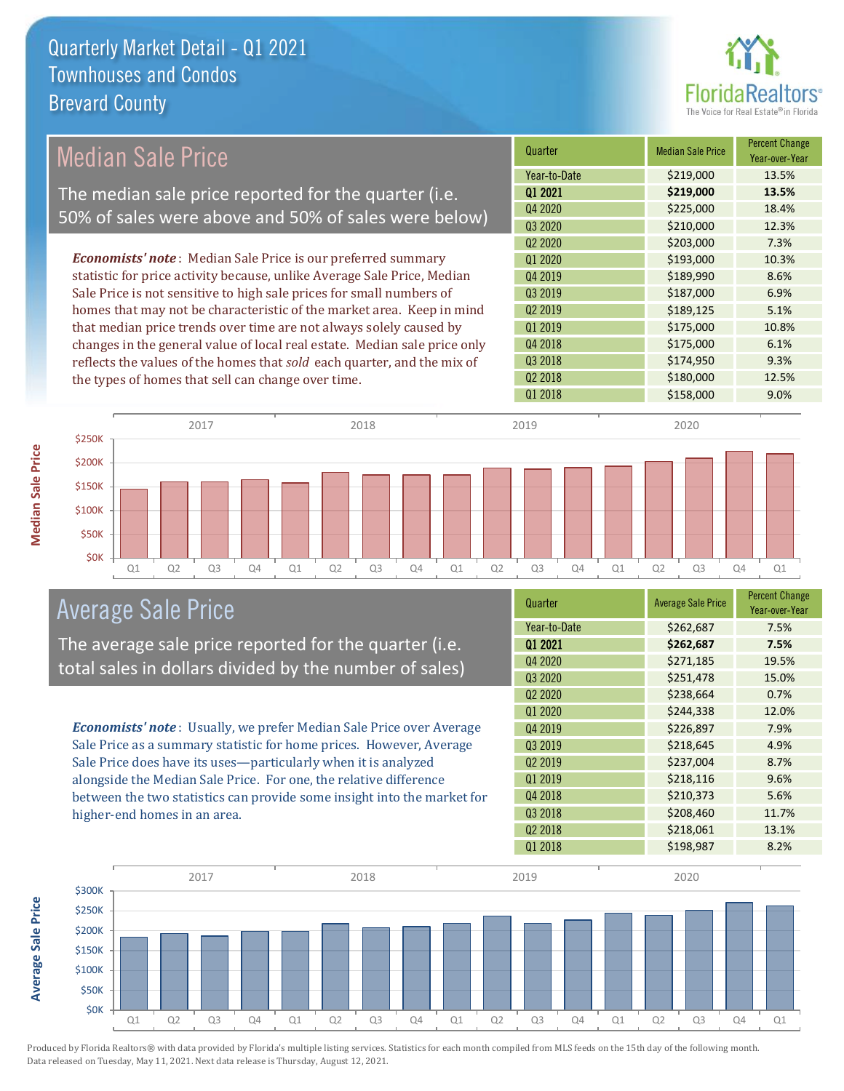

### Median Sale Price

The median sale price reported for the quarter (i.e. 50% of sales were above and 50% of sales were below)

*Economists' note* : Median Sale Price is our preferred summary statistic for price activity because, unlike Average Sale Price, Median Sale Price is not sensitive to high sale prices for small numbers of homes that may not be characteristic of the market area. Keep in mind that median price trends over time are not always solely caused by changes in the general value of local real estate. Median sale price only reflects the values of the homes that *sold* each quarter, and the mix of the types of homes that sell can change over time.

| Quarter                         | <b>Median Sale Price</b> | <b>Percent Change</b><br>Year-over-Year |
|---------------------------------|--------------------------|-----------------------------------------|
| Year-to-Date                    | \$219,000                | 13.5%                                   |
| Q1 2021                         | \$219,000                | 13.5%                                   |
| Q4 2020                         | \$225,000                | 18.4%                                   |
| Q3 2020                         | \$210,000                | 12.3%                                   |
| Q <sub>2</sub> 20 <sub>20</sub> | \$203,000                | 7.3%                                    |
| Q1 2020                         | \$193,000                | 10.3%                                   |
| Q4 2019                         | \$189,990                | 8.6%                                    |
| Q3 2019                         | \$187,000                | 6.9%                                    |
| Q <sub>2</sub> 2019             | \$189,125                | 5.1%                                    |
| Q1 2019                         | \$175,000                | 10.8%                                   |
| Q4 2018                         | \$175,000                | 6.1%                                    |
| Q3 2018                         | \$174,950                | 9.3%                                    |
| Q <sub>2</sub> 2018             | \$180,000                | 12.5%                                   |
| Q1 2018                         | \$158,000                | 9.0%                                    |



### Average Sale Price

The average sale price reported for the quarter (i.e. total sales in dollars divided by the number of sales)

*Economists' note* : Usually, we prefer Median Sale Price over Average Sale Price as a summary statistic for home prices. However, Average Sale Price does have its uses—particularly when it is analyzed alongside the Median Sale Price. For one, the relative difference between the two statistics can provide some insight into the market for higher-end homes in an area.

| Quarter                         | <b>Average Sale Price</b> | <b>Percent Change</b><br>Year-over-Year |
|---------------------------------|---------------------------|-----------------------------------------|
| Year-to-Date                    | \$262,687                 | 7.5%                                    |
| Q1 2021                         | \$262,687                 | 7.5%                                    |
| Q4 2020                         | \$271,185                 | 19.5%                                   |
| Q3 2020                         | \$251,478                 | 15.0%                                   |
| Q <sub>2</sub> 20 <sub>20</sub> | \$238,664                 | 0.7%                                    |
| Q1 2020                         | \$244,338                 | 12.0%                                   |
| Q4 2019                         | \$226,897                 | 7.9%                                    |
| 03 2019                         | \$218,645                 | 4.9%                                    |
| Q <sub>2</sub> 2019             | \$237,004                 | 8.7%                                    |
| Q1 2019                         | \$218,116                 | 9.6%                                    |
| Q4 2018                         | \$210,373                 | 5.6%                                    |
| Q3 2018                         | \$208,460                 | 11.7%                                   |
| Q <sub>2</sub> 2018             | \$218,061                 | 13.1%                                   |
| Q1 2018                         | \$198,987                 | 8.2%                                    |



Produced by Florida Realtors® with data provided by Florida's multiple listing services. Statistics for each month compiled from MLS feeds on the 15th day of the following month. Data released on Tuesday, May 11, 2021. Next data release is Thursday, August 12, 2021.

**Average Sale Price**

**Average Sale Price**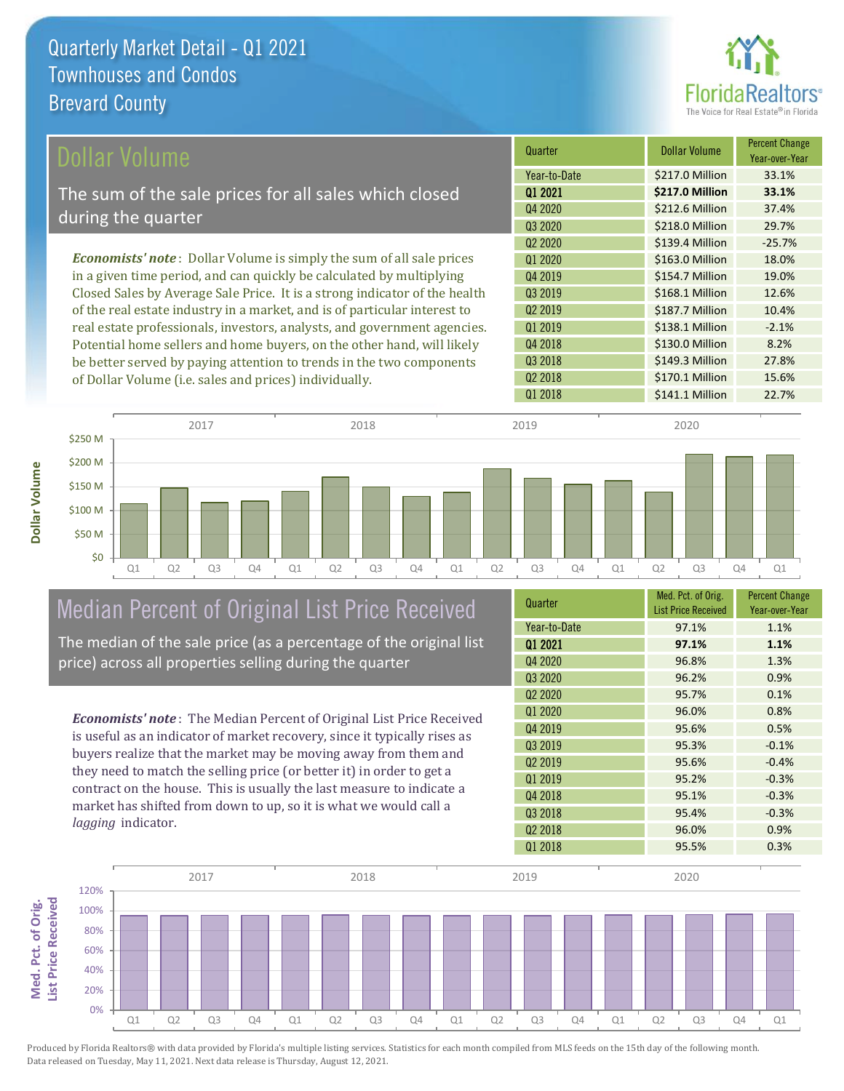

| Dollar Volume                                                                | Quarter             | <b>Dollar Volume</b> | <b>Percent Change</b><br>Year-over-Year |
|------------------------------------------------------------------------------|---------------------|----------------------|-----------------------------------------|
|                                                                              | Year-to-Date        | \$217.0 Million      | 33.1%                                   |
| The sum of the sale prices for all sales which closed                        | 01 2021             | \$217.0 Million      | 33.1%                                   |
| during the quarter                                                           | Q4 2020             | \$212.6 Million      | 37.4%                                   |
|                                                                              | Q3 2020             | \$218.0 Million      | 29.7%                                   |
|                                                                              | Q <sub>2</sub> 2020 | \$139.4 Million      | $-25.7%$                                |
| <b>Economists' note</b> : Dollar Volume is simply the sum of all sale prices | 01 2020             | \$163.0 Million      | 18.0%                                   |
| in a given time period, and can quickly be calculated by multiplying         | 04 2019             | \$154.7 Million      | 19.0%                                   |
| Closed Sales by Average Sale Price. It is a strong indicator of the health   | Q3 2019             | \$168.1 Million      | 12.6%                                   |
| of the real estate industry in a market, and is of particular interest to    | 02 2019             | \$187.7 Million      | 10.4%                                   |
| real estate professionals, investors, analysts, and government agencies.     | Q1 2019             | \$138.1 Million      | $-2.1%$                                 |
| Potential home sellers and home buyers, on the other hand, will likely       | Q4 2018             | \$130.0 Million      | 8.2%                                    |
| be better served by paying attention to trends in the two components         | Q3 2018             | \$149.3 Million      | 27.8%                                   |
| of Dollar Volume ( <i>i.e.</i> sales and prices) individually.               | Q <sub>2</sub> 2018 | \$170.1 Million      | 15.6%                                   |



# Median Percent of Original List Price Received

The median of the sale price (as a percentage of the original list price) across all properties selling during the quarter

*Economists' note* : The Median Percent of Original List Price Received is useful as an indicator of market recovery, since it typically rises as buyers realize that the market may be moving away from them and they need to match the selling price (or better it) in order to get a contract on the house. This is usually the last measure to indicate a market has shifted from down to up, so it is what we would call a *lagging* indicator.

| Quarter                         | Med. Pct. of Orig.<br><b>List Price Received</b> | <b>Percent Change</b><br>Year-over-Year |
|---------------------------------|--------------------------------------------------|-----------------------------------------|
| Year-to-Date                    | 97.1%                                            | 1.1%                                    |
| 01 2021                         | 97.1%                                            | 1.1%                                    |
| Q4 2020                         | 96.8%                                            | 1.3%                                    |
| Q3 2020                         | 96.2%                                            | 0.9%                                    |
| Q <sub>2</sub> 20 <sub>20</sub> | 95.7%                                            | 0.1%                                    |
| 01 2020                         | 96.0%                                            | 0.8%                                    |
| Q4 2019                         | 95.6%                                            | 0.5%                                    |
| Q3 2019                         | 95.3%                                            | $-0.1%$                                 |
| Q <sub>2</sub> 2019             | 95.6%                                            | $-0.4%$                                 |
| Q1 2019                         | 95.2%                                            | $-0.3%$                                 |
| Q4 2018                         | 95.1%                                            | $-0.3%$                                 |
| Q3 2018                         | 95.4%                                            | $-0.3%$                                 |
| Q <sub>2</sub> 2018             | 96.0%                                            | 0.9%                                    |
| Q1 2018                         | 95.5%                                            | 0.3%                                    |

Q1 2018 **\$141.1 Million** 22.7%



Produced by Florida Realtors® with data provided by Florida's multiple listing services. Statistics for each month compiled from MLS feeds on the 15th day of the following month. Data released on Tuesday, May 11, 2021. Next data release is Thursday, August 12, 2021.

Med. Pct. of Orig.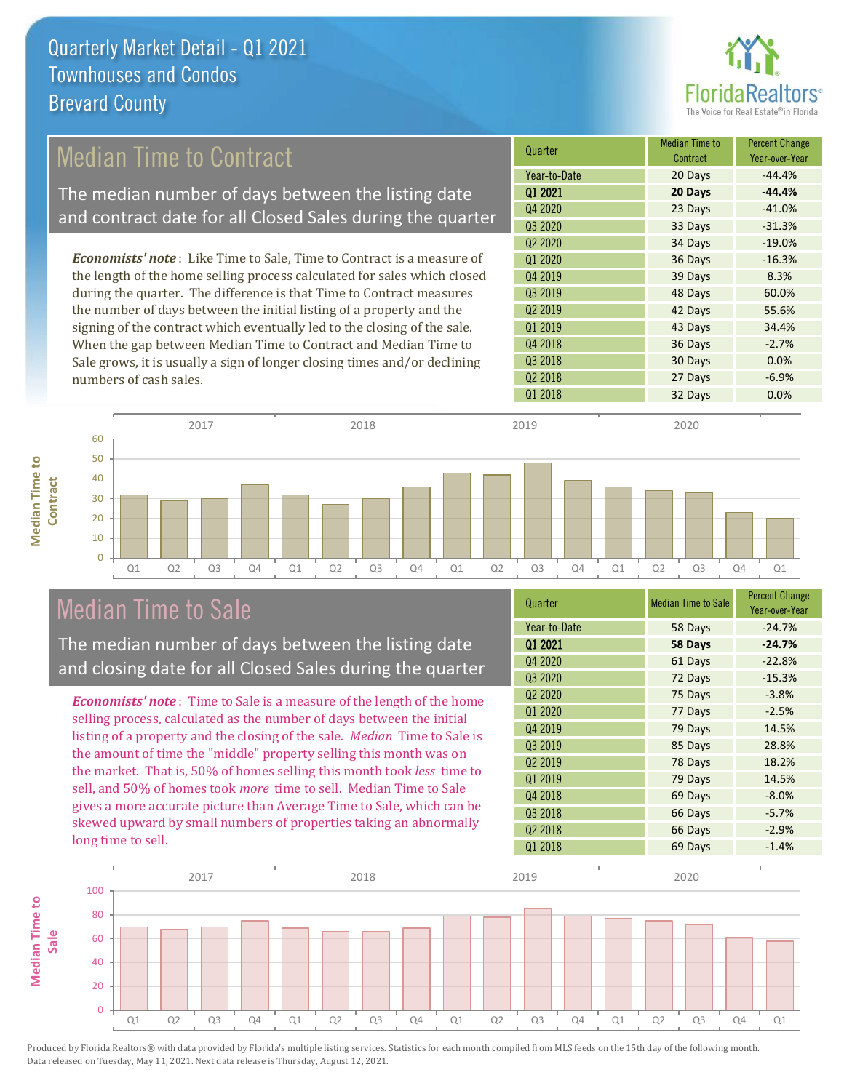

### Median Time to Contract

The median number of days between the listing date and contract date for all Closed Sales during the quarter

*Economists' note* : Like Time to Sale, Time to Contract is a measure of the length of the home selling process calculated for sales which closed during the quarter. The difference is that Time to Contract measures the number of days between the initial listing of a property and the signing of the contract which eventually led to the closing of the sale. When the gap between Median Time to Contract and Median Time to Sale grows, it is usually a sign of longer closing times and/or declining numbers of cash sales.

| Quarter                         | <b>Median Time to</b><br>Contract | <b>Percent Change</b><br>Year-over-Year |
|---------------------------------|-----------------------------------|-----------------------------------------|
| Year-to-Date                    | 20 Days                           | $-44.4%$                                |
| 01 2021                         | 20 Days                           | $-44.4%$                                |
| Q4 2020                         | 23 Days                           | $-41.0%$                                |
| Q3 2020                         | 33 Days                           | $-31.3%$                                |
| Q <sub>2</sub> 20 <sub>20</sub> | 34 Days                           | $-19.0%$                                |
| Q1 2020                         | 36 Days                           | $-16.3%$                                |
| Q4 2019                         | 39 Days                           | 8.3%                                    |
| Q3 2019                         | 48 Days                           | 60.0%                                   |
| Q <sub>2</sub> 2019             | 42 Days                           | 55.6%                                   |
| Q1 2019                         | 43 Days                           | 34.4%                                   |
| Q4 2018                         | 36 Days                           | $-2.7%$                                 |
| Q3 2018                         | 30 Days                           | 0.0%                                    |
| Q <sub>2</sub> 2018             | 27 Days                           | $-6.9%$                                 |
| Q1 2018                         | 32 Days                           | 0.0%                                    |

**Median Time to Median Time to Contract**



### Median Time to Sale

The median number of days between the listing date and closing date for all Closed Sales during the quarter

*Economists' note* : Time to Sale is a measure of the length of the home selling process, calculated as the number of days between the initial listing of a property and the closing of the sale. *Median* Time to Sale is the amount of time the "middle" property selling this month was on the market. That is, 50% of homes selling this month took *less* time to sell, and 50% of homes took *more* time to sell. Median Time to Sale gives a more accurate picture than Average Time to Sale, which can be skewed upward by small numbers of properties taking an abnormally long time to sell.

| Quarter                         | <b>Median Time to Sale</b> | <b>Percent Change</b><br>Year-over-Year |
|---------------------------------|----------------------------|-----------------------------------------|
| Year-to-Date                    | 58 Days                    | $-24.7%$                                |
| Q1 2021                         | 58 Days                    | $-24.7%$                                |
| Q4 2020                         | 61 Days                    | $-22.8%$                                |
| Q3 2020                         | 72 Days                    | $-15.3%$                                |
| Q <sub>2</sub> 20 <sub>20</sub> | 75 Days                    | $-3.8%$                                 |
| Q1 2020                         | 77 Days                    | $-2.5%$                                 |
| Q4 2019                         | 79 Days                    | 14.5%                                   |
| Q3 2019                         | 85 Days                    | 28.8%                                   |
| Q <sub>2</sub> 2019             | 78 Days                    | 18.2%                                   |
| Q1 2019                         | 79 Days                    | 14.5%                                   |
| Q4 2018                         | 69 Days                    | $-8.0%$                                 |
| Q3 2018                         | 66 Days                    | $-5.7%$                                 |
| Q <sub>2</sub> 2018             | 66 Days                    | $-2.9%$                                 |
| Q1 2018                         | 69 Days                    | $-1.4%$                                 |

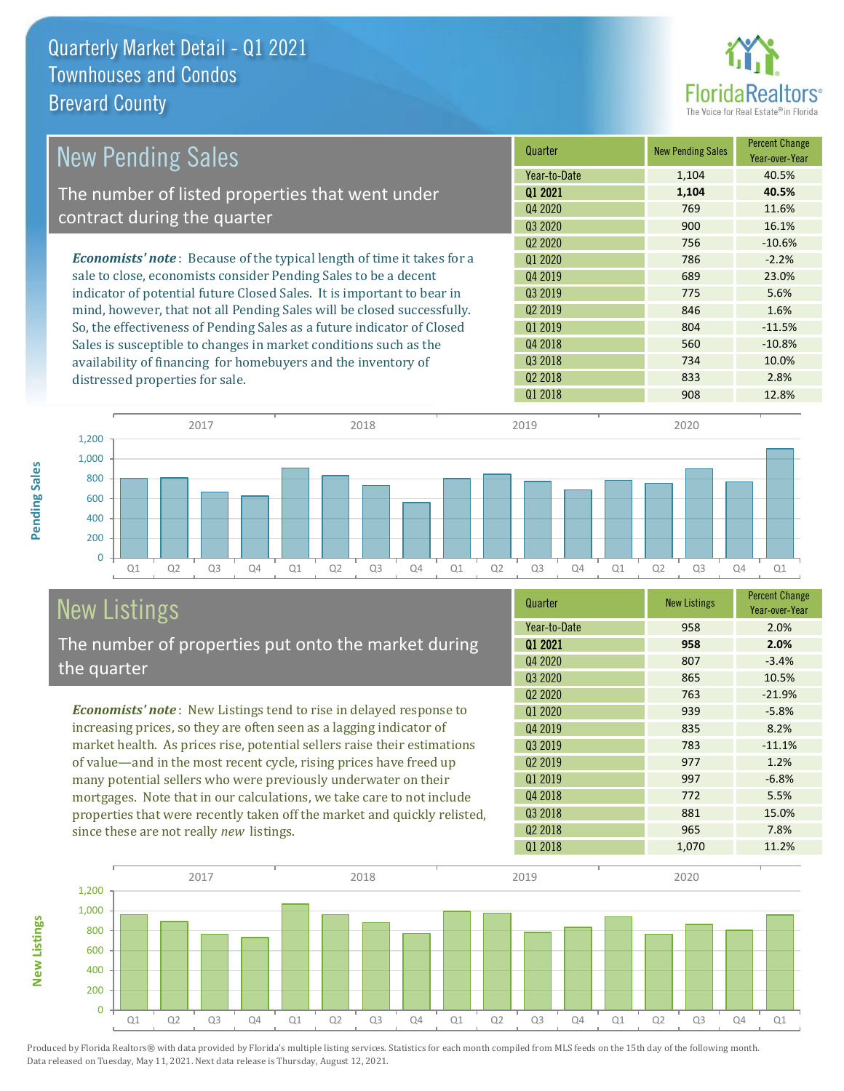

| <b>New Pending Sales</b>                                                      | Quarter             | <b>New Pending Sales</b> | <b>Percent Change</b><br>Year-over-Year |
|-------------------------------------------------------------------------------|---------------------|--------------------------|-----------------------------------------|
|                                                                               | Year-to-Date        | 1,104                    | 40.5%                                   |
| The number of listed properties that went under                               | 01 2021             | 1,104                    | 40.5%                                   |
|                                                                               | Q4 2020             | 769                      | 11.6%                                   |
| contract during the quarter                                                   | Q3 2020             | 900                      | 16.1%                                   |
|                                                                               | Q <sub>2</sub> 2020 | 756                      | $-10.6%$                                |
| <b>Economists' note:</b> Because of the typical length of time it takes for a | 01 2020             | 786                      | $-2.2%$                                 |
| sale to close, economists consider Pending Sales to be a decent               | Q4 2019             | 689                      | 23.0%                                   |
| indicator of potential future Closed Sales. It is important to bear in        | 03 2019             | 775                      | 5.6%                                    |
| mind, however, that not all Pending Sales will be closed successfully.        | 02 2019             | 846                      | 1.6%                                    |
| So, the effectiveness of Pending Sales as a future indicator of Closed        | Q1 2019             | 804                      | $-11.5%$                                |
| Sales is susceptible to changes in market conditions such as the              | Q4 2018             | 560                      | $-10.8%$                                |
| availability of financing for homebuyers and the inventory of                 | Q3 2018             | 734                      | 10.0%                                   |
| distressed properties for sale.                                               | Q <sub>2</sub> 2018 | 833                      | 2.8%                                    |



## New Listings

**New Listings**

**Pending Sales**

Pending Sales

The number of properties put onto the market during the quarter

*Economists' note* : New Listings tend to rise in delayed response to increasing prices, so they are often seen as a lagging indicator of market health. As prices rise, potential sellers raise their estimations of value—and in the most recent cycle, rising prices have freed up many potential sellers who were previously underwater on their mortgages. Note that in our calculations, we take care to not include properties that were recently taken off the market and quickly relisted, since these are not really *new* listings.

| Quarter                         | <b>New Listings</b> | <b>Percent Change</b><br>Year-over-Year |
|---------------------------------|---------------------|-----------------------------------------|
| Year-to-Date                    | 958                 | 2.0%                                    |
| 01 2021                         | 958                 | 2.0%                                    |
| Q4 2020                         | 807                 | $-3.4%$                                 |
| Q3 2020                         | 865                 | 10.5%                                   |
| Q <sub>2</sub> 20 <sub>20</sub> | 763                 | $-21.9%$                                |
| Q1 2020                         | 939                 | $-5.8%$                                 |
| Q4 2019                         | 835                 | 8.2%                                    |
| Q3 2019                         | 783                 | $-11.1%$                                |
| Q <sub>2</sub> 2019             | 977                 | 1.2%                                    |
| Q1 2019                         | 997                 | $-6.8%$                                 |
| Q4 2018                         | 772                 | 5.5%                                    |
| Q3 2018                         | 881                 | 15.0%                                   |
| Q <sub>2</sub> 2018             | 965                 | 7.8%                                    |
| 01 2018                         | 1,070               | 11.2%                                   |

Q1 2018 **12.8%** 908 12.8%

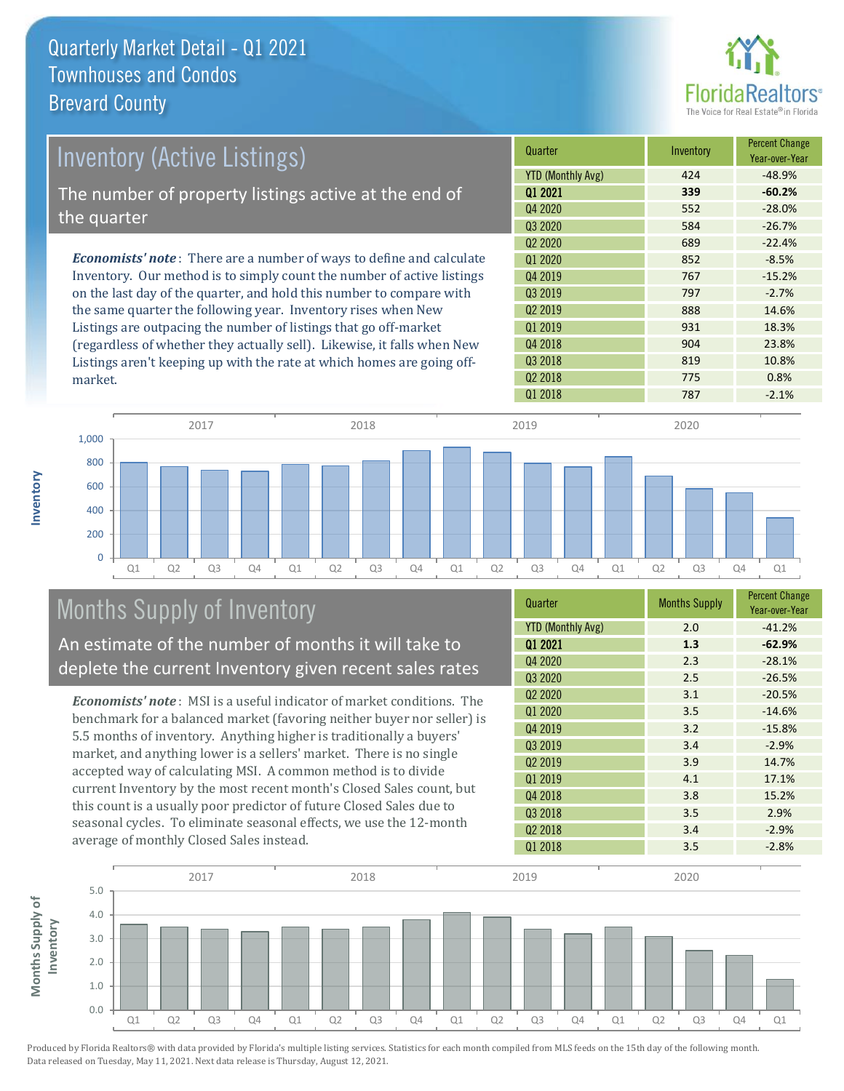

| Inventory (Active Listings)                                                  | Quarter                  | Inventory | <b>Percent Change</b><br>Year-over-Year |
|------------------------------------------------------------------------------|--------------------------|-----------|-----------------------------------------|
|                                                                              | <b>YTD (Monthly Avg)</b> | 424       | $-48.9%$                                |
| The number of property listings active at the end of                         | 01 2021                  | 339       | $-60.2%$                                |
|                                                                              | Q4 2020                  | 552       | $-28.0%$                                |
| the quarter                                                                  | 03 20 20                 | 584       | $-26.7%$                                |
|                                                                              | 02 2020                  | 689       | $-22.4%$                                |
| <b>Economists' note</b> : There are a number of ways to define and calculate | 01 2020                  | 852       | $-8.5%$                                 |
| Inventory. Our method is to simply count the number of active listings       | Q4 2019                  | 767       | $-15.2%$                                |
| on the last day of the quarter, and hold this number to compare with         | Q3 2019                  | 797       | $-2.7%$                                 |
| the same quarter the following year. Inventory rises when New                | Q <sub>2</sub> 2019      | 888       | 14.6%                                   |
| Listings are outpacing the number of listings that go off-market             | Q1 2019                  | 931       | 18.3%                                   |
| (regardless of whether they actually sell). Likewise, it falls when New      | Q4 2018                  | 904       | 23.8%                                   |

(regardless of whether they actually sell). Likewise, it falls when New Listings aren't keeping up with the rate at which homes are going offmarket.



### Months Supply of Inventory

An estimate of the number of months it will take to deplete the current Inventory given recent sales rates

*Economists' note* : MSI is a useful indicator of market conditions. The benchmark for a balanced market (favoring neither buyer nor seller) is 5.5 months of inventory. Anything higher is traditionally a buyers' market, and anything lower is a sellers' market. There is no single accepted way of calculating MSI. A common method is to divide current Inventory by the most recent month's Closed Sales count, but this count is a usually poor predictor of future Closed Sales due to seasonal cycles. To eliminate seasonal effects, we use the 12-month average of monthly Closed Sales instead.

| Quarter                         | <b>Months Supply</b> | <b>Percent Change</b><br>Year-over-Year |
|---------------------------------|----------------------|-----------------------------------------|
| <b>YTD (Monthly Avg)</b>        | 2.0                  | $-41.2%$                                |
| 01 2021                         | 1.3                  | $-62.9%$                                |
| Q4 2020                         | 2.3                  | $-28.1%$                                |
| Q3 2020                         | 2.5                  | $-26.5%$                                |
| Q <sub>2</sub> 20 <sub>20</sub> | 3.1                  | $-20.5%$                                |
| Q1 2020                         | 3.5                  | $-14.6%$                                |
| Q4 2019                         | 3.2                  | $-15.8%$                                |
| 03 2019                         | 3.4                  | $-2.9%$                                 |
| Q <sub>2</sub> 2019             | 3.9                  | 14.7%                                   |
| Q1 2019                         | 4.1                  | 17.1%                                   |
| Q4 2018                         | 3.8                  | 15.2%                                   |
| Q3 2018                         | 3.5                  | 2.9%                                    |
| Q <sub>2</sub> 2018             | 3.4                  | $-2.9%$                                 |
| Q1 2018                         | 3.5                  | $-2.8%$                                 |

Q3 2018 819 819 10.8% Q2 2018 775 0.8%



Produced by Florida Realtors® with data provided by Florida's multiple listing services. Statistics for each month compiled from MLS feeds on the 15th day of the following month. Data released on Tuesday, May 11, 2021. Next data release is Thursday, August 12, 2021.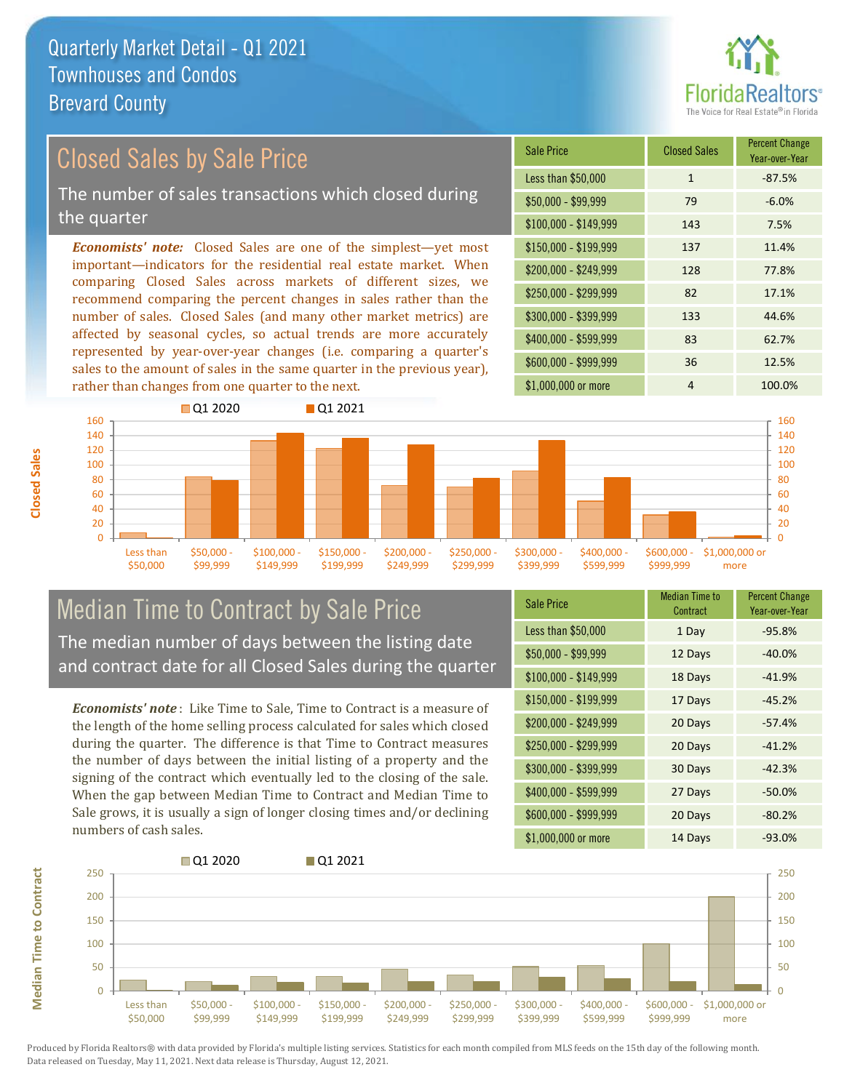

Year-over-Year

#### Sale Price Closed Sales Percent Change *Economists' note:* Closed Sales are one of the simplest—yet most important—indicators for the residential real estate market. When comparing Closed Sales across markets of different sizes, we recommend comparing the percent changes in sales rather than the number of sales. Closed Sales (and many other market metrics) are Closed Sales by Sale Price The number of sales transactions which closed during the quarter

affected by seasonal cycles, so actual trends are more accurately represented by year-over-year changes (i.e. comparing a quarter's sales to the amount of sales in the same quarter in the previous year), rather than changes from one quarter to the next.





### Median Time to Contract by Sale Price The median number of days between the listing date and contract date for all Closed Sales during the quarter

*Economists' note* : Like Time to Sale, Time to Contract is a measure of the length of the home selling process calculated for sales which closed during the quarter. The difference is that Time to Contract measures the number of days between the initial listing of a property and the signing of the contract which eventually led to the closing of the sale. When the gap between Median Time to Contract and Median Time to Sale grows, it is usually a sign of longer closing times and/or declining numbers of cash sales.

| <b>Sale Price</b>     | Median Time to<br>Contract | <b>Percent Change</b><br>Year-over-Year |
|-----------------------|----------------------------|-----------------------------------------|
| Less than \$50,000    | 1 Day                      | $-95.8%$                                |
| $$50,000 - $99,999$   | 12 Days                    | $-40.0%$                                |
| $$100,000 - $149,999$ | 18 Days                    | $-41.9%$                                |
| $$150,000 - $199,999$ | 17 Days                    | $-45.2%$                                |
| \$200,000 - \$249,999 | 20 Days                    | $-57.4%$                                |
| \$250,000 - \$299,999 | 20 Days                    | $-41.2%$                                |
| \$300,000 - \$399,999 | 30 Days                    | $-42.3%$                                |
| $$400,000 - $599,999$ | 27 Days                    | $-50.0%$                                |
| \$600,000 - \$999,999 | 20 Days                    | $-80.2%$                                |
| \$1,000,000 or more   | 14 Days                    | $-93.0%$                                |



Produced by Florida Realtors® with data provided by Florida's multiple listing services. Statistics for each month compiled from MLS feeds on the 15th day of the following month. Data released on Tuesday, May 11, 2021. Next data release is Thursday, August 12, 2021.

**Median Time to Contract**

**Median Time to Contract**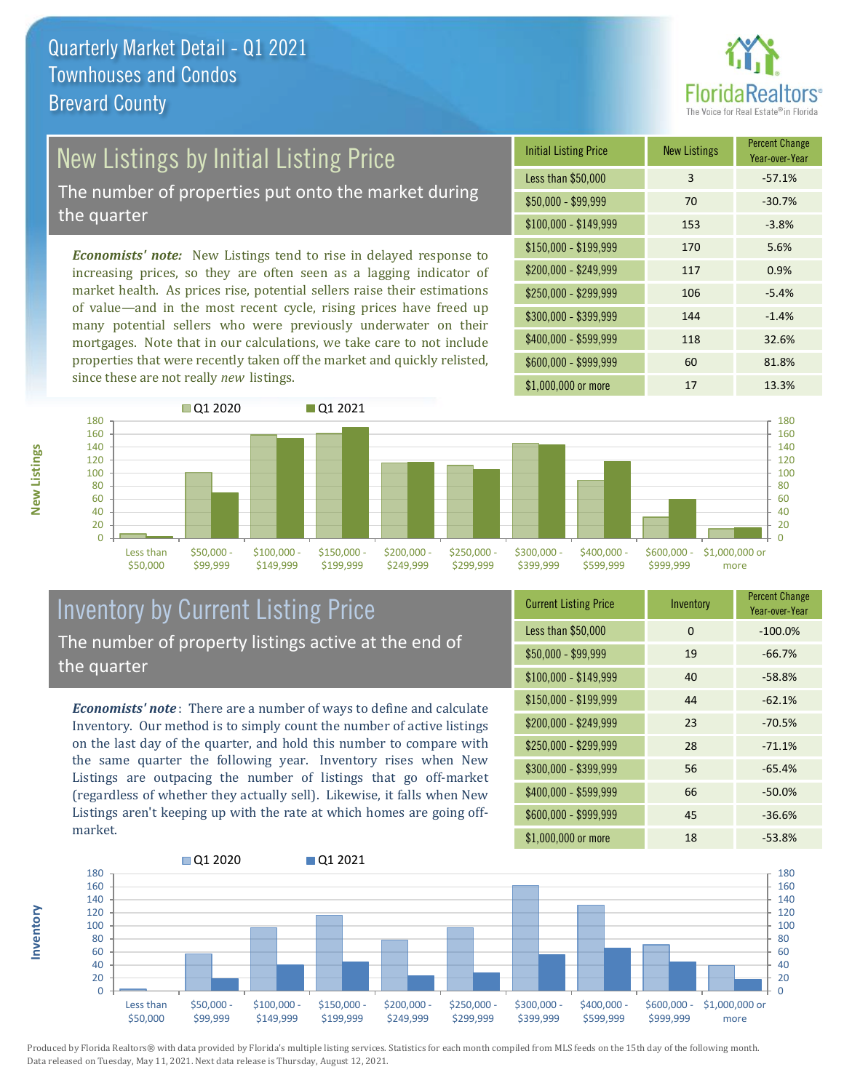

## New Listings by Initial Listing Price

The number of properties put onto the market during the quarter

*Economists' note:* New Listings tend to rise in delayed response to increasing prices, so they are often seen as a lagging indicator of market health. As prices rise, potential sellers raise their estimations of value—and in the most recent cycle, rising prices have freed up many potential sellers who were previously underwater on their mortgages. Note that in our calculations, we take care to not include properties that were recently taken off the market and quickly relisted, since these are not really *new* listings.





### Inventory by Current Listing Price The number of property listings active at the end of the quarter

*Economists' note* : There are a number of ways to define and calculate Inventory. Our method is to simply count the number of active listings on the last day of the quarter, and hold this number to compare with the same quarter the following year. Inventory rises when New Listings are outpacing the number of listings that go off-market (regardless of whether they actually sell). Likewise, it falls when New Listings aren't keeping up with the rate at which homes are going offmarket.

| <b>Current Listing Price</b> | Inventory | <b>Percent Change</b><br>Year-over-Year |
|------------------------------|-----------|-----------------------------------------|
| Less than \$50,000           | 0         | $-100.0%$                               |
| $$50,000 - $99,999$          | 19        | $-66.7%$                                |
| $$100,000 - $149,999$        | 40        | $-58.8%$                                |
| $$150,000 - $199,999$        | 44        | $-62.1%$                                |
| \$200,000 - \$249,999        | 23        | $-70.5%$                                |
| \$250,000 - \$299,999        | 28        | $-71.1%$                                |
| \$300,000 - \$399,999        | 56        | $-65.4%$                                |
| \$400,000 - \$599,999        | 66        | $-50.0%$                                |
| \$600,000 - \$999,999        | 45        | $-36.6%$                                |
| \$1,000,000 or more          | 18        | $-53.8%$                                |



Produced by Florida Realtors® with data provided by Florida's multiple listing services. Statistics for each month compiled from MLS feeds on the 15th day of the following month. Data released on Tuesday, May 11, 2021. Next data release is Thursday, August 12, 2021.

**Inventory**